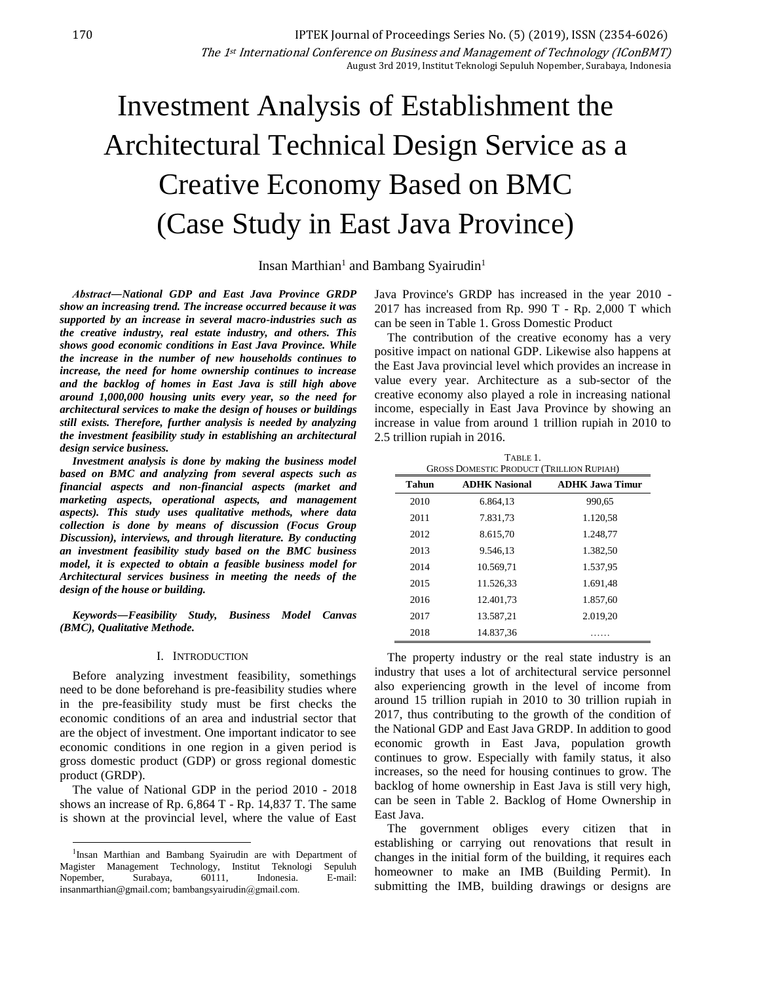# Investment Analysis of Establishment the Architectural Technical Design Service as a Creative Economy Based on BMC (Case Study in East Java Province)

Insan Marthian<sup>1</sup> and Bambang Syairudin<sup>1</sup>

*Abstract―National GDP and East Java Province GRDP show an increasing trend. The increase occurred because it was supported by an increase in several macro-industries such as the creative industry, real estate industry, and others. This shows good economic conditions in East Java Province. While the increase in the number of new households continues to increase, the need for home ownership continues to increase and the backlog of homes in East Java is still high above around 1,000,000 housing units every year, so the need for architectural services to make the design of houses or buildings still exists. Therefore, further analysis is needed by analyzing the investment feasibility study in establishing an architectural design service business.*

*Investment analysis is done by making the business model based on BMC and analyzing from several aspects such as financial aspects and non-financial aspects (market and marketing aspects, operational aspects, and management aspects). This study uses qualitative methods, where data collection is done by means of discussion (Focus Group Discussion), interviews, and through literature. By conducting an investment feasibility study based on the BMC business model, it is expected to obtain a feasible business model for Architectural services business in meeting the needs of the design of the house or building.* 

*Keywords―Feasibility Study, Business Model Canvas (BMC), Qualitative Methode.*

#### I. INTRODUCTION

Before analyzing investment feasibility, somethings need to be done beforehand is pre-feasibility studies where in the pre-feasibility study must be first checks the economic conditions of an area and industrial sector that are the object of investment. One important indicator to see economic conditions in one region in a given period is gross domestic product (GDP) or gross regional domestic product (GRDP).

The value of National GDP in the period 2010 - 2018 shows an increase of Rp. 6,864 T - Rp. 14,837 T. The same is shown at the provincial level, where the value of East

l

Java Province's GRDP has increased in the year 2010 - 2017 has increased from Rp. 990 T - Rp. 2,000 T which can be seen in Table 1. Gross Domestic Product

The contribution of the creative economy has a very positive impact on national GDP. Likewise also happens at the East Java provincial level which provides an increase in value every year. Architecture as a sub-sector of the creative economy also played a role in increasing national income, especially in East Java Province by showing an increase in value from around 1 trillion rupiah in 2010 to 2.5 trillion rupiah in 2016.

| <b>GROSS DOMESTIC PRODUCT (TRILLION RUPIAH)</b> |                      |                        |  |  |  |  |
|-------------------------------------------------|----------------------|------------------------|--|--|--|--|
| <b>Tahun</b>                                    | <b>ADHK Nasional</b> | <b>ADHK Jawa Timur</b> |  |  |  |  |
| 2010                                            | 6.864.13             | 990,65                 |  |  |  |  |
| 2011                                            | 7.831,73             | 1.120,58               |  |  |  |  |
| 2012                                            | 8.615,70             | 1.248,77               |  |  |  |  |
| 2013                                            | 9.546,13             | 1.382,50               |  |  |  |  |
| 2014                                            | 10.569.71            | 1.537.95               |  |  |  |  |
| 2015                                            | 11.526,33            | 1.691,48               |  |  |  |  |
| 2016                                            | 12.401,73            | 1.857,60               |  |  |  |  |
| 2017                                            | 13.587.21            | 2.019,20               |  |  |  |  |
| 2018                                            | 14.837,36            |                        |  |  |  |  |

The property industry or the real state industry is an industry that uses a lot of architectural service personnel also experiencing growth in the level of income from around 15 trillion rupiah in 2010 to 30 trillion rupiah in 2017, thus contributing to the growth of the condition of the National GDP and East Java GRDP. In addition to good economic growth in East Java, population growth continues to grow. Especially with family status, it also increases, so the need for housing continues to grow. The backlog of home ownership in East Java is still very high, can be seen in Table 2. Backlog of Home Ownership in East Java.

The government obliges every citizen that in establishing or carrying out renovations that result in changes in the initial form of the building, it requires each homeowner to make an IMB (Building Permit). In submitting the IMB, building drawings or designs are

<sup>&</sup>lt;sup>1</sup>Insan Marthian and Bambang Syairudin are with Department of Magister Management Technology, Institut Teknologi Sepuluh Nopember, Surabaya, 60111, Indonesia. E-mail: insanmarthian@gmail.com; bambangsyairudin@gmail.com.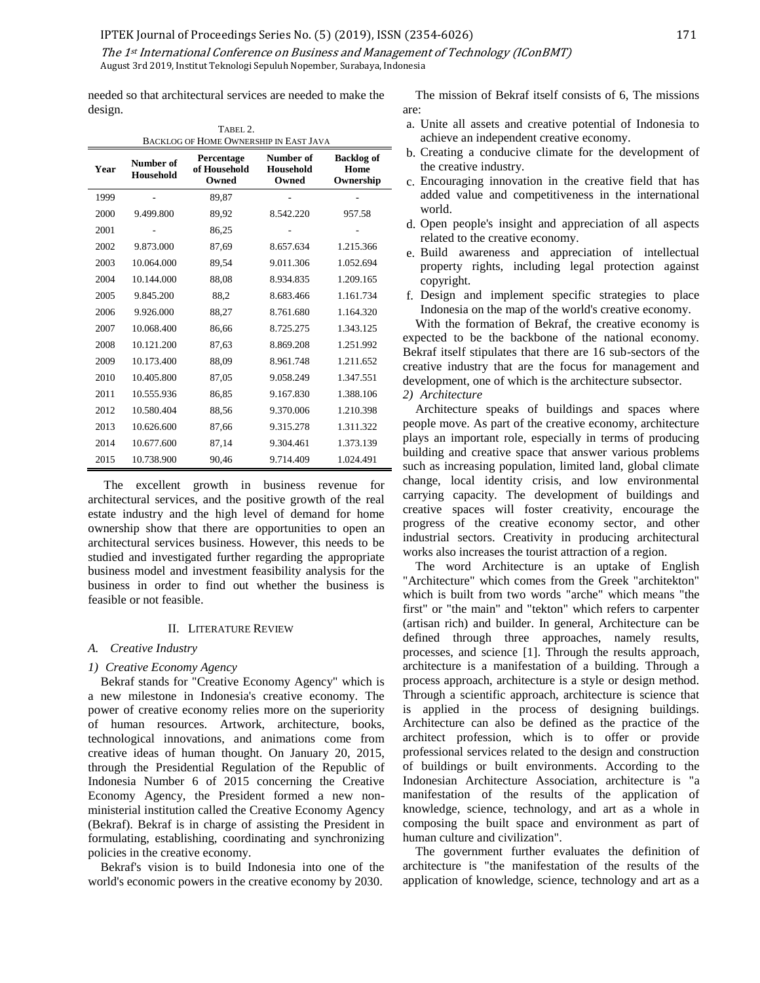The 1st International Conference on Business and Management of Technology (IConBMT) August 3rd 2019, Institut Teknologi Sepuluh Nopember, Surabaya, Indonesia

needed so that architectural services are needed to make the design. TABEL 2.

| I ADEL 4.<br><b>BACKLOG OF HOME OWNERSHIP IN EAST JAVA</b> |                        |                                     |                                 |                                        |  |  |
|------------------------------------------------------------|------------------------|-------------------------------------|---------------------------------|----------------------------------------|--|--|
| Year                                                       | Number of<br>Household | Percentage<br>of Household<br>Owned | Number of<br>Household<br>Owned | <b>Backlog</b> of<br>Home<br>Ownership |  |  |
| 1999                                                       |                        | 89,87                               |                                 |                                        |  |  |
| 2000                                                       | 9.499.800              | 89,92                               | 8.542.220                       | 957.58                                 |  |  |
| 2001                                                       |                        | 86,25                               |                                 |                                        |  |  |
| 2002                                                       | 9.873.000              | 87,69                               | 8.657.634                       | 1.215.366                              |  |  |
| 2003                                                       | 10.064.000             | 89,54                               | 9.011.306                       | 1.052.694                              |  |  |
| 2004                                                       | 10.144.000             | 88,08                               | 8.934.835                       | 1.209.165                              |  |  |
| 2005                                                       | 9.845.200              | 88,2                                | 8.683.466                       | 1.161.734                              |  |  |
| 2006                                                       | 9.926.000              | 88,27                               | 8.761.680                       | 1.164.320                              |  |  |
| 2007                                                       | 10.068.400             | 86,66                               | 8.725.275                       | 1.343.125                              |  |  |
| 2008                                                       | 10.121.200             | 87,63                               | 8.869.208                       | 1.251.992                              |  |  |
| 2009                                                       | 10.173.400             | 88,09                               | 8.961.748                       | 1.211.652                              |  |  |
| 2010                                                       | 10.405.800             | 87,05                               | 9.058.249                       | 1.347.551                              |  |  |
| 2011                                                       | 10.555.936             | 86,85                               | 9.167.830                       | 1.388.106                              |  |  |
| 2012                                                       | 10.580.404             | 88,56                               | 9.370.006                       | 1.210.398                              |  |  |
| 2013                                                       | 10.626.600             | 87,66                               | 9.315.278                       | 1.311.322                              |  |  |
| 2014                                                       | 10.677.600             | 87,14                               | 9.304.461                       | 1.373.139                              |  |  |
| 2015                                                       | 10.738.900             | 90,46                               | 9.714.409                       | 1.024.491                              |  |  |

The excellent growth in business revenue for architectural services, and the positive growth of the real estate industry and the high level of demand for home ownership show that there are opportunities to open an architectural services business. However, this needs to be studied and investigated further regarding the appropriate business model and investment feasibility analysis for the business in order to find out whether the business is feasible or not feasible.

#### II. LITERATURE REVIEW

## *A. Creative Industry*

## *1) Creative Economy Agency*

Bekraf stands for "Creative Economy Agency" which is a new milestone in Indonesia's creative economy. The power of creative economy relies more on the superiority of human resources. Artwork, architecture, books, technological innovations, and animations come from creative ideas of human thought. On January 20, 2015, through the Presidential Regulation of the Republic of Indonesia Number 6 of 2015 concerning the Creative Economy Agency, the President formed a new nonministerial institution called the Creative Economy Agency (Bekraf). Bekraf is in charge of assisting the President in formulating, establishing, coordinating and synchronizing policies in the creative economy.

Bekraf's vision is to build Indonesia into one of the world's economic powers in the creative economy by 2030.

The mission of Bekraf itself consists of 6, The missions are:

- a. Unite all assets and creative potential of Indonesia to achieve an independent creative economy.
- b. Creating a conducive climate for the development of the creative industry.
- c. Encouraging innovation in the creative field that has added value and competitiveness in the international world.
- d. Open people's insight and appreciation of all aspects related to the creative economy.
- e. Build awareness and appreciation of intellectual property rights, including legal protection against copyright.
- f. Design and implement specific strategies to place Indonesia on the map of the world's creative economy.

With the formation of Bekraf, the creative economy is expected to be the backbone of the national economy. Bekraf itself stipulates that there are 16 sub-sectors of the creative industry that are the focus for management and development, one of which is the architecture subsector.

## *2) Architecture*

Architecture speaks of buildings and spaces where people move. As part of the creative economy, architecture plays an important role, especially in terms of producing building and creative space that answer various problems such as increasing population, limited land, global climate change, local identity crisis, and low environmental carrying capacity. The development of buildings and creative spaces will foster creativity, encourage the progress of the creative economy sector, and other industrial sectors. Creativity in producing architectural works also increases the tourist attraction of a region.

The word Architecture is an uptake of English "Architecture" which comes from the Greek "architekton" which is built from two words "arche" which means "the first" or "the main" and "tekton" which refers to carpenter (artisan rich) and builder. In general, Architecture can be defined through three approaches, namely results, processes, and science [1]. Through the results approach, architecture is a manifestation of a building. Through a process approach, architecture is a style or design method. Through a scientific approach, architecture is science that is applied in the process of designing buildings. Architecture can also be defined as the practice of the architect profession, which is to offer or provide professional services related to the design and construction of buildings or built environments. According to the Indonesian Architecture Association, architecture is "a manifestation of the results of the application of knowledge, science, technology, and art as a whole in composing the built space and environment as part of human culture and civilization".

The government further evaluates the definition of architecture is "the manifestation of the results of the application of knowledge, science, technology and art as a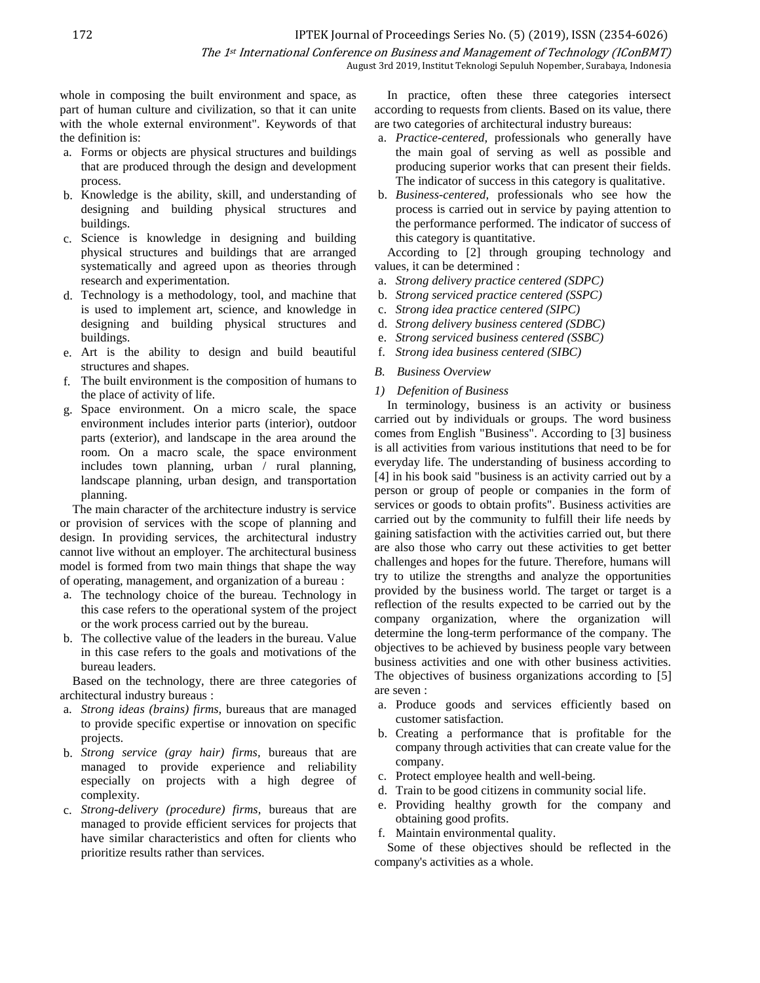The 1st International Conference on Business and Management of Technology (IConBMT)

August 3rd 2019, Institut Teknologi Sepuluh Nopember, Surabaya, Indonesia

whole in composing the built environment and space, as part of human culture and civilization, so that it can unite with the whole external environment". Keywords of that the definition is:

- a. Forms or objects are physical structures and buildings that are produced through the design and development process.
- b. Knowledge is the ability, skill, and understanding of designing and building physical structures and buildings.
- c. Science is knowledge in designing and building physical structures and buildings that are arranged systematically and agreed upon as theories through research and experimentation.
- d. Technology is a methodology, tool, and machine that is used to implement art, science, and knowledge in designing and building physical structures and buildings.
- e. Art is the ability to design and build beautiful structures and shapes.
- f. The built environment is the composition of humans to the place of activity of life.
- g. Space environment. On a micro scale, the space environment includes interior parts (interior), outdoor parts (exterior), and landscape in the area around the room. On a macro scale, the space environment includes town planning, urban / rural planning, landscape planning, urban design, and transportation planning.

The main character of the architecture industry is service or provision of services with the scope of planning and design. In providing services, the architectural industry cannot live without an employer. The architectural business model is formed from two main things that shape the way of operating, management, and organization of a bureau :

- a. The technology choice of the bureau. Technology in this case refers to the operational system of the project or the work process carried out by the bureau.
- b. The collective value of the leaders in the bureau. Value in this case refers to the goals and motivations of the bureau leaders.

Based on the technology, there are three categories of architectural industry bureaus :

- a. *Strong ideas (brains) firms,* bureaus that are managed to provide specific expertise or innovation on specific projects.
- b. *Strong service (gray hair) firms,* bureaus that are managed to provide experience and reliability especially on projects with a high degree of complexity.
- c. *Strong-delivery (procedure) firms,* bureaus that are managed to provide efficient services for projects that have similar characteristics and often for clients who prioritize results rather than services.

In practice, often these three categories intersect according to requests from clients. Based on its value, there are two categories of architectural industry bureaus:

- a. *Practice-centered,* professionals who generally have the main goal of serving as well as possible and producing superior works that can present their fields. The indicator of success in this category is qualitative.
- b. *Business-centered,* professionals who see how the process is carried out in service by paying attention to the performance performed. The indicator of success of this category is quantitative.

According to [2] through grouping technology and values, it can be determined :

- a. *Strong delivery practice centered (SDPC)*
- b. *Strong serviced practice centered (SSPC)*
- c. *Strong idea practice centered (SIPC)*
- d. *Strong delivery business centered (SDBC)*
- e. *Strong serviced business centered (SSBC)*
- f. *Strong idea business centered (SIBC)*
- *B. Business Overview*

## *1) Defenition of Business*

In terminology, business is an activity or business carried out by individuals or groups. The word business comes from English "Business". According to [3] business is all activities from various institutions that need to be for everyday life. The understanding of business according to [4] in his book said "business is an activity carried out by a person or group of people or companies in the form of services or goods to obtain profits". Business activities are carried out by the community to fulfill their life needs by gaining satisfaction with the activities carried out, but there are also those who carry out these activities to get better challenges and hopes for the future. Therefore, humans will try to utilize the strengths and analyze the opportunities provided by the business world. The target or target is a reflection of the results expected to be carried out by the company organization, where the organization will determine the long-term performance of the company. The objectives to be achieved by business people vary between business activities and one with other business activities. The objectives of business organizations according to [5] are seven :

- a. Produce goods and services efficiently based on customer satisfaction.
- b. Creating a performance that is profitable for the company through activities that can create value for the company.
- c. Protect employee health and well-being.
- d. Train to be good citizens in community social life.
- e. Providing healthy growth for the company and obtaining good profits.
- f. Maintain environmental quality.

Some of these objectives should be reflected in the company's activities as a whole.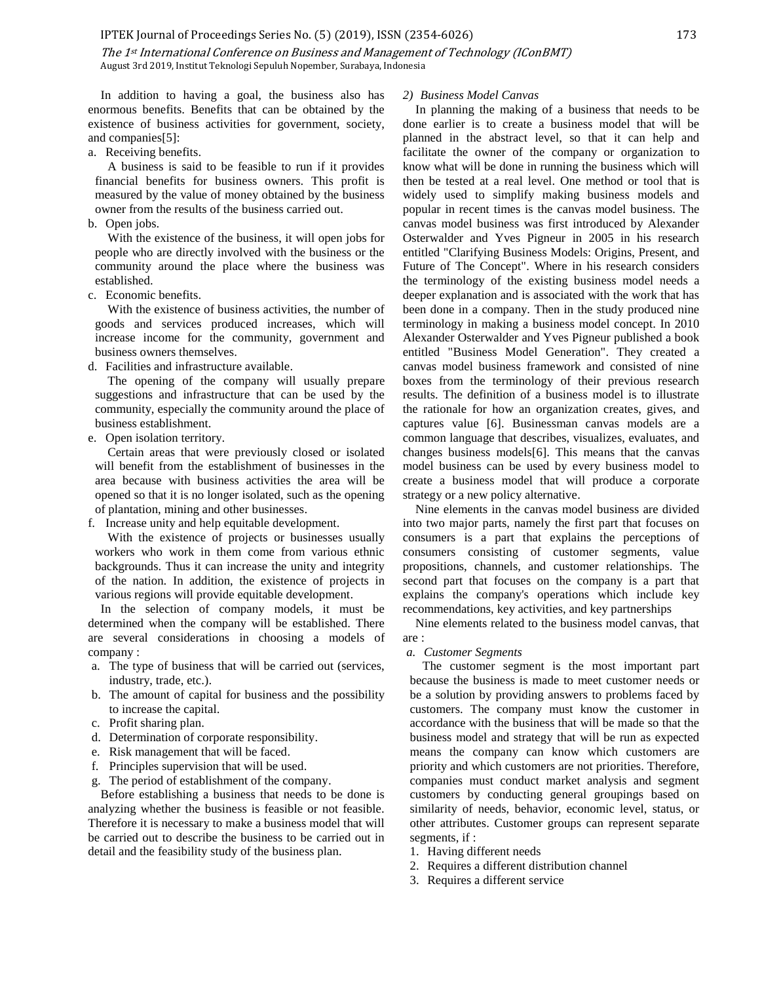The 1st International Conference on Business and Management of Technology (IConBMT) August 3rd 2019, Institut Teknologi Sepuluh Nopember, Surabaya, Indonesia

In addition to having a goal, the business also has enormous benefits. Benefits that can be obtained by the existence of business activities for government, society, and companies[5]:

a. Receiving benefits.

A business is said to be feasible to run if it provides financial benefits for business owners. This profit is measured by the value of money obtained by the business owner from the results of the business carried out.

b. Open jobs.

With the existence of the business, it will open jobs for people who are directly involved with the business or the community around the place where the business was established.

c. Economic benefits.

With the existence of business activities, the number of goods and services produced increases, which will increase income for the community, government and business owners themselves.

d. Facilities and infrastructure available.

The opening of the company will usually prepare suggestions and infrastructure that can be used by the community, especially the community around the place of business establishment.

e. Open isolation territory.

Certain areas that were previously closed or isolated will benefit from the establishment of businesses in the area because with business activities the area will be opened so that it is no longer isolated, such as the opening of plantation, mining and other businesses.

f. Increase unity and help equitable development.

With the existence of projects or businesses usually workers who work in them come from various ethnic backgrounds. Thus it can increase the unity and integrity of the nation. In addition, the existence of projects in various regions will provide equitable development.

In the selection of company models, it must be determined when the company will be established. There are several considerations in choosing a models of company :

- a. The type of business that will be carried out (services, industry, trade, etc.).
- b. The amount of capital for business and the possibility to increase the capital.
- c. Profit sharing plan.
- d. Determination of corporate responsibility.
- e. Risk management that will be faced.
- f. Principles supervision that will be used.
- g. The period of establishment of the company.

Before establishing a business that needs to be done is analyzing whether the business is feasible or not feasible. Therefore it is necessary to make a business model that will be carried out to describe the business to be carried out in detail and the feasibility study of the business plan.

## *2) Business Model Canvas*

In planning the making of a business that needs to be done earlier is to create a business model that will be planned in the abstract level, so that it can help and facilitate the owner of the company or organization to know what will be done in running the business which will then be tested at a real level. One method or tool that is widely used to simplify making business models and popular in recent times is the canvas model business. The canvas model business was first introduced by Alexander Osterwalder and Yves Pigneur in 2005 in his research entitled "Clarifying Business Models: Origins, Present, and Future of The Concept". Where in his research considers the terminology of the existing business model needs a deeper explanation and is associated with the work that has been done in a company. Then in the study produced nine terminology in making a business model concept. In 2010 Alexander Osterwalder and Yves Pigneur published a book entitled "Business Model Generation". They created a canvas model business framework and consisted of nine boxes from the terminology of their previous research results. The definition of a business model is to illustrate the rationale for how an organization creates, gives, and captures value [6]. Businessman canvas models are a common language that describes, visualizes, evaluates, and changes business models[6]. This means that the canvas model business can be used by every business model to create a business model that will produce a corporate strategy or a new policy alternative.

Nine elements in the canvas model business are divided into two major parts, namely the first part that focuses on consumers is a part that explains the perceptions of consumers consisting of customer segments, value propositions, channels, and customer relationships. The second part that focuses on the company is a part that explains the company's operations which include key recommendations, key activities, and key partnerships

Nine elements related to the business model canvas, that are :

#### *a. Customer Segments*

The customer segment is the most important part because the business is made to meet customer needs or be a solution by providing answers to problems faced by customers. The company must know the customer in accordance with the business that will be made so that the business model and strategy that will be run as expected means the company can know which customers are priority and which customers are not priorities. Therefore, companies must conduct market analysis and segment customers by conducting general groupings based on similarity of needs, behavior, economic level, status, or other attributes. Customer groups can represent separate segments, if :

- 1. Having different needs
- 2. Requires a different distribution channel
- 3. Requires a different service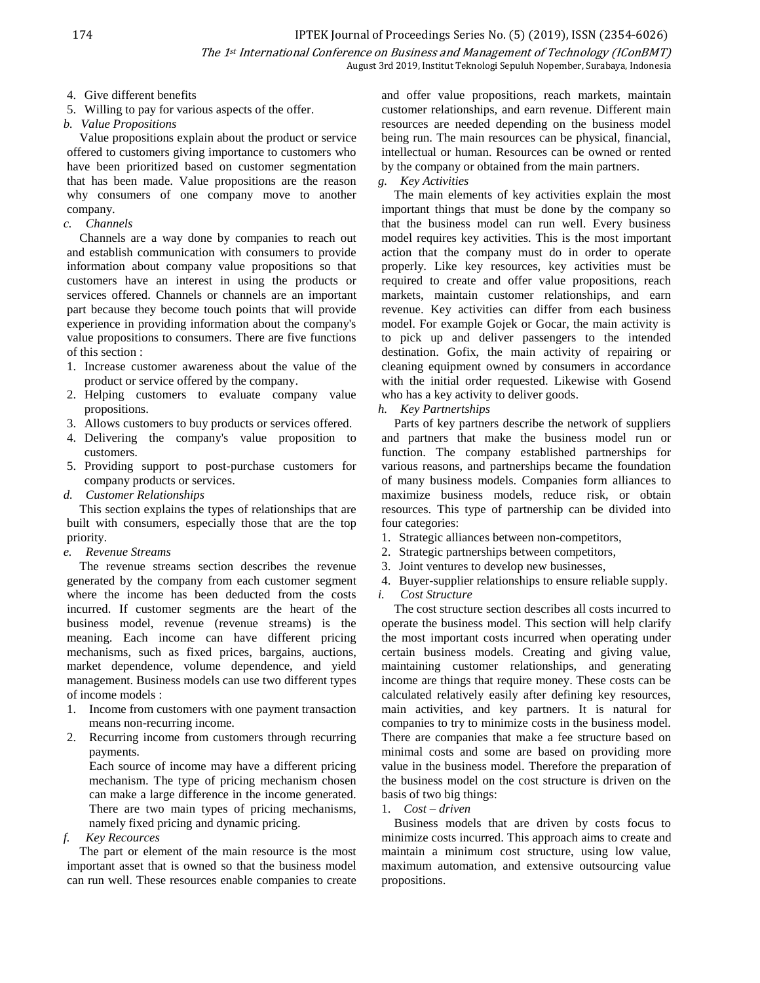- 4. Give different benefits
- 5. Willing to pay for various aspects of the offer.
- *b. Value Propositions*

Value propositions explain about the product or service offered to customers giving importance to customers who have been prioritized based on customer segmentation that has been made. Value propositions are the reason why consumers of one company move to another company.

*c. Channels*

Channels are a way done by companies to reach out and establish communication with consumers to provide information about company value propositions so that customers have an interest in using the products or services offered. Channels or channels are an important part because they become touch points that will provide experience in providing information about the company's value propositions to consumers. There are five functions of this section :

- 1. Increase customer awareness about the value of the product or service offered by the company.
- 2. Helping customers to evaluate company value propositions.
- 3. Allows customers to buy products or services offered.
- 4. Delivering the company's value proposition to customers.
- 5. Providing support to post-purchase customers for company products or services.
- *d. Customer Relationships*

This section explains the types of relationships that are built with consumers, especially those that are the top priority.

*e. Revenue Streams*

The revenue streams section describes the revenue generated by the company from each customer segment where the income has been deducted from the costs incurred. If customer segments are the heart of the business model, revenue (revenue streams) is the meaning. Each income can have different pricing mechanisms, such as fixed prices, bargains, auctions, market dependence, volume dependence, and yield management. Business models can use two different types of income models :

- 1. Income from customers with one payment transaction means non-recurring income.
- 2. Recurring income from customers through recurring payments.

Each source of income may have a different pricing mechanism. The type of pricing mechanism chosen can make a large difference in the income generated. There are two main types of pricing mechanisms, namely fixed pricing and dynamic pricing.

*f. Key Recources*

The part or element of the main resource is the most important asset that is owned so that the business model can run well. These resources enable companies to create and offer value propositions, reach markets, maintain customer relationships, and earn revenue. Different main resources are needed depending on the business model being run. The main resources can be physical, financial, intellectual or human. Resources can be owned or rented by the company or obtained from the main partners.

# *g. Key Activities*

The main elements of key activities explain the most important things that must be done by the company so that the business model can run well. Every business model requires key activities. This is the most important action that the company must do in order to operate properly. Like key resources, key activities must be required to create and offer value propositions, reach markets, maintain customer relationships, and earn revenue. Key activities can differ from each business model. For example Gojek or Gocar, the main activity is to pick up and deliver passengers to the intended destination. Gofix, the main activity of repairing or cleaning equipment owned by consumers in accordance with the initial order requested. Likewise with Gosend who has a key activity to deliver goods.

*h. Key Partnertships*

Parts of key partners describe the network of suppliers and partners that make the business model run or function. The company established partnerships for various reasons, and partnerships became the foundation of many business models. Companies form alliances to maximize business models, reduce risk, or obtain resources. This type of partnership can be divided into four categories:

- 1. Strategic alliances between non-competitors,
- 2. Strategic partnerships between competitors,
- 3. Joint ventures to develop new businesses,
- 4. Buyer-supplier relationships to ensure reliable supply.
- *i. Cost Structure* The cost structure section describes all costs incurred to

operate the business model. This section will help clarify the most important costs incurred when operating under certain business models. Creating and giving value, maintaining customer relationships, and generating income are things that require money. These costs can be calculated relatively easily after defining key resources, main activities, and key partners. It is natural for companies to try to minimize costs in the business model. There are companies that make a fee structure based on minimal costs and some are based on providing more value in the business model. Therefore the preparation of the business model on the cost structure is driven on the basis of two big things:

1. *Cost – driven* 

Business models that are driven by costs focus to minimize costs incurred. This approach aims to create and maintain a minimum cost structure, using low value, maximum automation, and extensive outsourcing value propositions.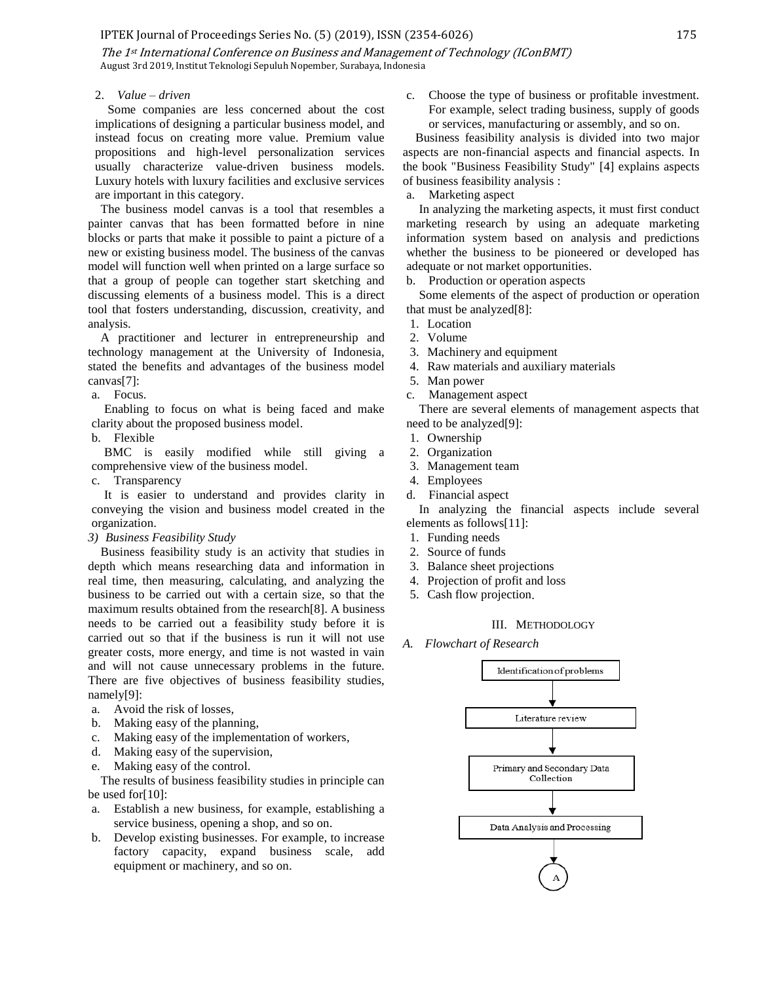#### IPTEK Journal of Proceedings Series No. (5) (2019), ISSN (2354-6026) 175

The 1st International Conference on Business and Management of Technology (IConBMT) August 3rd 2019, Institut Teknologi Sepuluh Nopember, Surabaya, Indonesia

## 2. *Value – driven*

Some companies are less concerned about the cost implications of designing a particular business model, and instead focus on creating more value. Premium value propositions and high-level personalization services usually characterize value-driven business models. Luxury hotels with luxury facilities and exclusive services are important in this category.

The business model canvas is a tool that resembles a painter canvas that has been formatted before in nine blocks or parts that make it possible to paint a picture of a new or existing business model. The business of the canvas model will function well when printed on a large surface so that a group of people can together start sketching and discussing elements of a business model. This is a direct tool that fosters understanding, discussion, creativity, and analysis.

A practitioner and lecturer in entrepreneurship and technology management at the University of Indonesia, stated the benefits and advantages of the business model canvas[7]:

## a. Focus.

Enabling to focus on what is being faced and make clarity about the proposed business model.

b. Flexible

BMC is easily modified while still giving a comprehensive view of the business model.

c. Transparency

It is easier to understand and provides clarity in conveying the vision and business model created in the organization.

*3) Business Feasibility Study*

Business feasibility study is an activity that studies in depth which means researching data and information in real time, then measuring, calculating, and analyzing the business to be carried out with a certain size, so that the maximum results obtained from the research[8]. A business needs to be carried out a feasibility study before it is carried out so that if the business is run it will not use greater costs, more energy, and time is not wasted in vain and will not cause unnecessary problems in the future. There are five objectives of business feasibility studies, namely[9]:

- a. Avoid the risk of losses,
- b. Making easy of the planning,
- c. Making easy of the implementation of workers,
- d. Making easy of the supervision,
- e. Making easy of the control.

The results of business feasibility studies in principle can be used for[10]:

- a. Establish a new business, for example, establishing a service business, opening a shop, and so on.
- b. Develop existing businesses. For example, to increase factory capacity, expand business scale, add equipment or machinery, and so on.

c. Choose the type of business or profitable investment. For example, select trading business, supply of goods or services, manufacturing or assembly, and so on.

Business feasibility analysis is divided into two major aspects are non-financial aspects and financial aspects. In the book "Business Feasibility Study" [4] explains aspects of business feasibility analysis :

a. Marketing aspect

In analyzing the marketing aspects, it must first conduct marketing research by using an adequate marketing information system based on analysis and predictions whether the business to be pioneered or developed has adequate or not market opportunities.

b. Production or operation aspects

Some elements of the aspect of production or operation that must be analyzed[8]:

- 1. Location
- 2. Volume
- 3. Machinery and equipment
- 4. Raw materials and auxiliary materials
- 5. Man power
- c. Management aspect

There are several elements of management aspects that need to be analyzed[9]:

- 1. Ownership
- 2. Organization
- 3. Management team
- 4. Employees
- d. Financial aspect

In analyzing the financial aspects include several elements as follows[11]:

- 1. Funding needs
- 2. Source of funds
- 3. Balance sheet projections
- 4. Projection of profit and loss
- 5. Cash flow projection.

## III. METHODOLOGY

*A. Flowchart of Research*

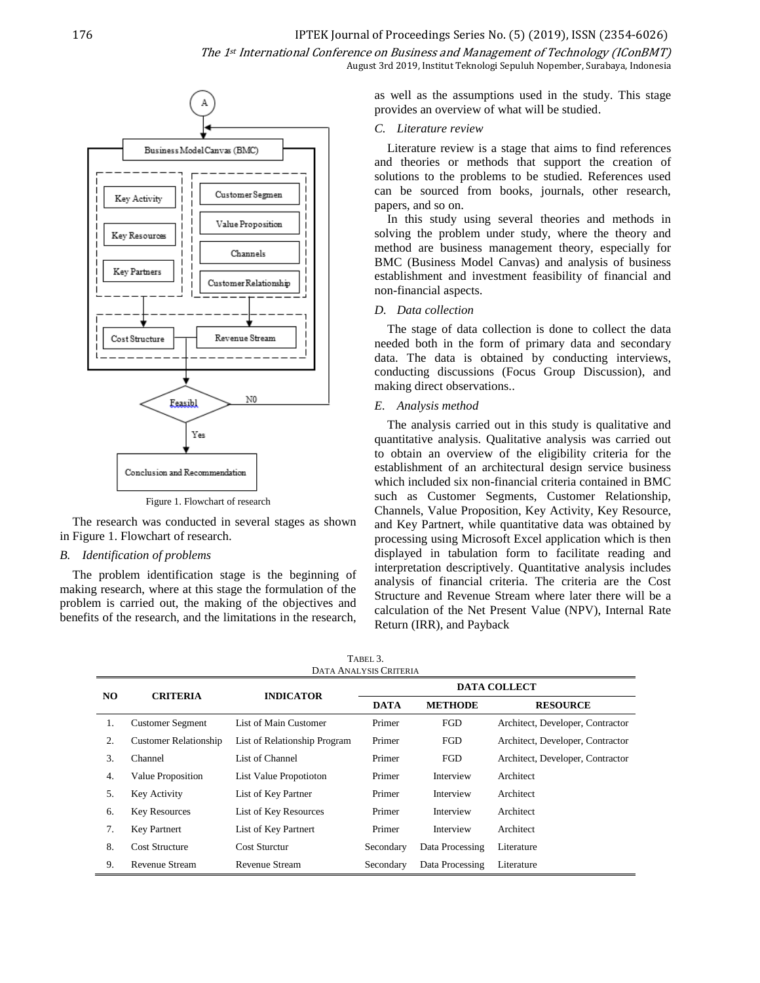

Figure 1. Flowchart of research

The research was conducted in several stages as shown in Figure 1. Flowchart of research.

## *B. Identification of problems*

The problem identification stage is the beginning of making research, where at this stage the formulation of the problem is carried out, the making of the objectives and benefits of the research, and the limitations in the research, as well as the assumptions used in the study. This stage provides an overview of what will be studied.

## *C. Literature review*

Literature review is a stage that aims to find references and theories or methods that support the creation of solutions to the problems to be studied. References used can be sourced from books, journals, other research, papers, and so on.

In this study using several theories and methods in solving the problem under study, where the theory and method are business management theory, especially for BMC (Business Model Canvas) and analysis of business establishment and investment feasibility of financial and non-financial aspects.

## *D. Data collection*

The stage of data collection is done to collect the data needed both in the form of primary data and secondary data. The data is obtained by conducting interviews, conducting discussions (Focus Group Discussion), and making direct observations..

## *E. Analysis method*

The analysis carried out in this study is qualitative and quantitative analysis. Qualitative analysis was carried out to obtain an overview of the eligibility criteria for the establishment of an architectural design service business which included six non-financial criteria contained in BMC such as Customer Segments, Customer Relationship, Channels, Value Proposition, Key Activity, Key Resource, and Key Partnert, while quantitative data was obtained by processing using Microsoft Excel application which is then displayed in tabulation form to facilitate reading and interpretation descriptively. Quantitative analysis includes analysis of financial criteria. The criteria are the Cost Structure and Revenue Stream where later there will be a calculation of the Net Present Value (NPV), Internal Rate Return (IRR), and Payback

| TABEL 3.                      |                              |                              |                     |                 |                                  |  |  |  |  |
|-------------------------------|------------------------------|------------------------------|---------------------|-----------------|----------------------------------|--|--|--|--|
| <b>DATA ANALYSIS CRITERIA</b> |                              |                              |                     |                 |                                  |  |  |  |  |
| NO.                           | <b>CRITERIA</b>              | <b>INDICATOR</b>             | <b>DATA COLLECT</b> |                 |                                  |  |  |  |  |
|                               |                              |                              | <b>DATA</b>         | <b>METHODE</b>  | <b>RESOURCE</b>                  |  |  |  |  |
| 1.                            | <b>Customer Segment</b>      | List of Main Customer        | Primer              | <b>FGD</b>      | Architect, Developer, Contractor |  |  |  |  |
| 2.                            | <b>Customer Relationship</b> | List of Relationship Program | Primer              | <b>FGD</b>      | Architect, Developer, Contractor |  |  |  |  |
| 3.                            | Channel                      | List of Channel              | Primer              | <b>FGD</b>      | Architect, Developer, Contractor |  |  |  |  |
| 4.                            | Value Proposition            | List Value Propotioton       | Primer              | Interview       | Architect                        |  |  |  |  |
| 5.                            | Key Activity                 | List of Key Partner          | Primer              | Interview       | Architect                        |  |  |  |  |
| 6.                            | <b>Key Resources</b>         | List of Key Resources        | Primer              | Interview       | Architect                        |  |  |  |  |
| 7.                            | <b>Key Partnert</b>          | List of Key Partnert         | Primer              | Interview       | Architect                        |  |  |  |  |
| 8.                            | <b>Cost Structure</b>        | <b>Cost Sturctur</b>         | Secondary           | Data Processing | Literature                       |  |  |  |  |
| 9.                            | <b>Revenue Stream</b>        | Revenue Stream               | Secondary           | Data Processing | Literature                       |  |  |  |  |